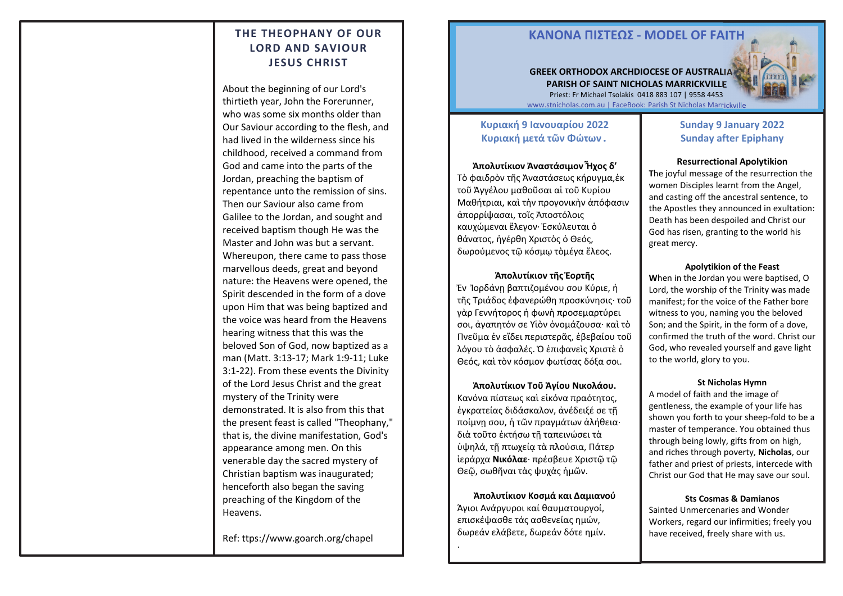# **THE THEOPHANY OF OUR LORD AND SAVIOUR JESUS CHRIST**

About the beginning of our Lord's thirtieth year, John the Forerunner, who was some six months older than Our Saviour according to the flesh, and had lived in the wilderness since his childhood, received a command from God and came into the parts of the Jordan, preaching the baptism of repentance unto the remission of sins. Then our Saviour also came from Galilee to the Jordan, and sought and received baptism though He was the Master and John was but a servant. Whereupon, there came to pass those marvellous deeds, great and beyond nature: the Heavens were opened, the Spirit descended in the form of a dove upon Him that was being baptized and the voice was heard from the Heavens hearing witness that this was the beloved Son of God, now baptized as a man (Matt. 3:13-17; Mark 1:9-11; Luke 3:1-22). From these events the Divinity of the Lord Jesus Christ and the great mystery of the Trinity were demonstrated. It is also from this that the present feast is called "Theophany," that is, the divine manifestation, God's appearance among men. On this venerable day the sacred mystery of Christian baptism was inaugurated; henceforth also began the saving preaching of the Kingdom of the Heavens.

Ref: ttps://www.goarch.org/chapel 1

4

.

# **ΚΑΝOΝΑ ΠIΣΤΕΩΣ - MODEL OF FAITH**

## **GREEK ORTHODOX ARCHDIOCESE OF AUSTRALIA PARISH OF SAINT NICHOLAS MARRICKVILLE** Priest: Fr Michael Tsolakis 0418 883 107 | 9558 4453



# **Κυριακή 9 Ιανουαρίου 2022 Κυριακή μετά τῶν Φώτων.**

**Ἀπολυτίκιον Ἀναστάσιμον Ἦχος δ′**  Τὸ φαιδρὸν τῆς Ἀναστάσεως κήρυγμα,ἐκ τοῦ Ἀγγέλου μαθοῦσαι αἱ τοῦ Κυρίου Μαθήτριαι, καὶ τὴν προγονικὴν ἀπόφασιν ἀπορρίψασαι, τοῖς Ἀποστόλοις καυχώμεναι ἔλεγον· Ἐσκύλευται ὁ θάνατος, ἠγέρθη Χριστὸς ὁ Θεός, δωρούμενος τῷ κόσμῳ τὸμέγα ἔλεος.

## **Ἀπολυτίκιον τῆς Ἑορτῆς**  Ἐν Ἰορδάνῃ βαπτιζομένου σου Κύριε, ἡ τῆς Τριάδος ἐφανερώθη προσκύνησις· τοῦ γὰρ Γεννήτορος ἡ φωνὴ προσεμαρτύρει σοι, ἀγαπητόν σε Υἱὸν ὀνομάζουσα· καὶ τὸ Πνεῦμα ἐν εἴδει περιστερᾶς, ἐβεβαίου τοῦ λόγου τὸ ἀσφαλές. Ὁ ἐπιφανεὶς Χριστὲ ὁ Θεός, καὶ τὸν κόσμον φωτίσας δόξα σοι.

**Ἀπολυτίκιον Τοῦ Ἁγίου Νικολάου.**  Κανόνα πίστεως καὶ εἰκόνα πραότητος, ἐγκρατείας διδάσκαλον, ἀνέδειξέ σε τῇ ποίμνῃ σου, ἡ τῶν πραγμάτων ἀλήθεια· διὰ τοῦτο ἐκτήσω τῇ ταπεινώσει τὰ ὑψηλά, τῇ πτωχείᾳ τὰ πλούσια, Πάτερ ἱεράρχα **Νικόλαε**· πρέσβευε Χριστῷ τῷ Θεῷ, σωθῆναι τὰς ψυχὰς ἡμῶν.

**Ἀπολυτίκιον Κοσμά και Δαμιανού**  Άγιοι Ανάργυροι καί θαυματουργοί, επισκέψασθε τάς ασθενείας ημών, δωρεάν ελάβετε, δωρεάν δότε ημίν.

# **Sunday 9 January 2022 Sunday after Epiphany**

### **Resurrectional Apolytikion**

**T**he joyful message of the resurrection the women Disciples learnt from the Angel, and casting off the ancestral sentence, to the Apostles they announced in exultation: Death has been despoiled and Christ our God has risen, granting to the world his great mercy.

#### **Apolytikion of the Feast**

**W**hen in the Jordan you were baptised, O Lord, the worship of the Trinity was made manifest; for the voice of the Father bore witness to you, naming you the beloved Son; and the Spirit, in the form of a dove, confirmed the truth of the word. Christ our God, who revealed yourself and gave light to the world, glory to you.

#### **St Nicholas Hymn**

A model of faith and the image of gentleness, the example of your life has shown you forth to your sheep-fold to be a master of temperance. You obtained thus through being lowly, gifts from on high, and riches through poverty, **Nicholas**, our father and priest of priests, intercede with Christ our God that He may save our soul.

#### **Sts Cosmas & Damianos**

Sainted Unmercenaries and Wonder Workers, regard our infirmities; freely you have received, freely share with us.